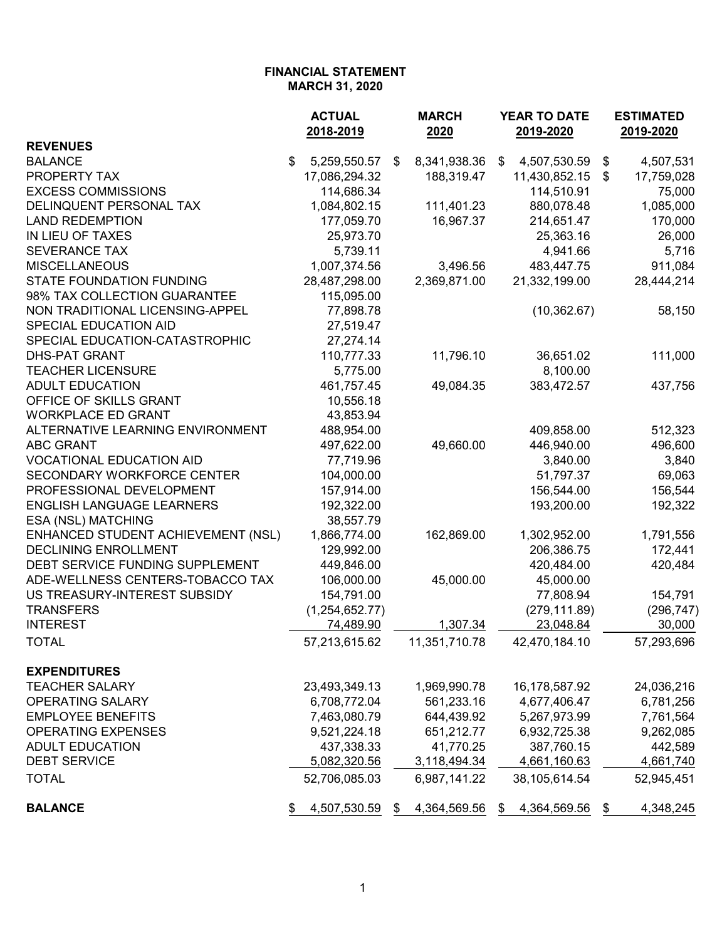|                                    | <b>ACTUAL</b><br>2018-2019 | <b>MARCH</b><br>2020 | <b>YEAR TO DATE</b><br>2019-2020 | <b>ESTIMATED</b><br>2019-2020 |  |
|------------------------------------|----------------------------|----------------------|----------------------------------|-------------------------------|--|
| <b>REVENUES</b>                    |                            |                      |                                  |                               |  |
| <b>BALANCE</b>                     | \$<br>5,259,550.57         | 8,341,938.36<br>\$   | 4,507,530.59<br>\$               | \$<br>4,507,531               |  |
| PROPERTY TAX                       | 17,086,294.32              | 188,319.47           | 11,430,852.15                    | 17,759,028<br>\$              |  |
| <b>EXCESS COMMISSIONS</b>          | 114,686.34                 |                      | 114,510.91                       | 75,000                        |  |
| DELINQUENT PERSONAL TAX            | 1,084,802.15               | 111,401.23           | 880,078.48                       | 1,085,000                     |  |
| <b>LAND REDEMPTION</b>             | 177,059.70                 | 16,967.37            | 214,651.47                       | 170,000                       |  |
| IN LIEU OF TAXES                   | 25,973.70                  |                      | 25,363.16                        | 26,000                        |  |
| <b>SEVERANCE TAX</b>               | 5,739.11                   |                      | 4,941.66                         | 5,716                         |  |
| <b>MISCELLANEOUS</b>               | 1,007,374.56               | 3,496.56             | 483,447.75                       | 911,084                       |  |
| <b>STATE FOUNDATION FUNDING</b>    | 28,487,298.00              | 2,369,871.00         | 21,332,199.00                    | 28,444,214                    |  |
| 98% TAX COLLECTION GUARANTEE       | 115,095.00                 |                      |                                  |                               |  |
| NON TRADITIONAL LICENSING-APPEL    | 77,898.78                  |                      | (10, 362.67)                     | 58,150                        |  |
| SPECIAL EDUCATION AID              | 27,519.47                  |                      |                                  |                               |  |
| SPECIAL EDUCATION-CATASTROPHIC     | 27,274.14                  |                      |                                  |                               |  |
| <b>DHS-PAT GRANT</b>               | 110,777.33                 | 11,796.10            | 36,651.02                        | 111,000                       |  |
| <b>TEACHER LICENSURE</b>           | 5,775.00                   |                      | 8,100.00                         |                               |  |
| <b>ADULT EDUCATION</b>             | 461,757.45                 | 49,084.35            | 383,472.57                       | 437,756                       |  |
| OFFICE OF SKILLS GRANT             | 10,556.18                  |                      |                                  |                               |  |
| <b>WORKPLACE ED GRANT</b>          | 43,853.94                  |                      |                                  |                               |  |
| ALTERNATIVE LEARNING ENVIRONMENT   | 488,954.00                 |                      | 409,858.00                       | 512,323                       |  |
| <b>ABC GRANT</b>                   | 497,622.00                 | 49,660.00            | 446,940.00                       | 496,600                       |  |
| <b>VOCATIONAL EDUCATION AID</b>    | 77,719.96                  |                      | 3,840.00                         | 3,840                         |  |
| <b>SECONDARY WORKFORCE CENTER</b>  | 104,000.00                 |                      | 51,797.37                        | 69,063                        |  |
| PROFESSIONAL DEVELOPMENT           | 157,914.00                 |                      | 156,544.00                       | 156,544                       |  |
| <b>ENGLISH LANGUAGE LEARNERS</b>   | 192,322.00                 |                      | 193,200.00                       | 192,322                       |  |
| ESA (NSL) MATCHING                 | 38,557.79                  |                      |                                  |                               |  |
| ENHANCED STUDENT ACHIEVEMENT (NSL) | 1,866,774.00               | 162,869.00           | 1,302,952.00                     | 1,791,556                     |  |
| <b>DECLINING ENROLLMENT</b>        | 129,992.00                 |                      | 206,386.75                       | 172,441                       |  |
| DEBT SERVICE FUNDING SUPPLEMENT    | 449,846.00                 |                      | 420,484.00                       | 420,484                       |  |
| ADE-WELLNESS CENTERS-TOBACCO TAX   | 106,000.00                 | 45,000.00            | 45,000.00                        |                               |  |
| US TREASURY-INTEREST SUBSIDY       | 154,791.00                 |                      | 77,808.94                        | 154,791                       |  |
| <b>TRANSFERS</b>                   | (1,254,652.77)             |                      | (279, 111.89)                    | (296, 747)                    |  |
| <b>INTEREST</b>                    | 74,489.90                  | 1,307.34             | 23,048.84                        | 30,000                        |  |
|                                    |                            |                      |                                  | 57,293,696                    |  |
| <b>TOTAL</b>                       | 57,213,615.62              | 11,351,710.78        | 42,470,184.10                    |                               |  |
| <b>EXPENDITURES</b>                |                            |                      |                                  |                               |  |
| <b>TEACHER SALARY</b>              | 23,493,349.13              | 1,969,990.78         | 16,178,587.92                    | 24,036,216                    |  |
| <b>OPERATING SALARY</b>            | 6,708,772.04               | 561,233.16           | 4,677,406.47                     | 6,781,256                     |  |
| <b>EMPLOYEE BENEFITS</b>           | 7,463,080.79               | 644,439.92           | 5,267,973.99                     | 7,761,564                     |  |
| <b>OPERATING EXPENSES</b>          | 9,521,224.18               | 651,212.77           | 6,932,725.38                     | 9,262,085                     |  |
| <b>ADULT EDUCATION</b>             | 437,338.33                 | 41,770.25            | 387,760.15                       | 442,589                       |  |
| <b>DEBT SERVICE</b>                | 5,082,320.56               | 3,118,494.34         | 4,661,160.63                     | 4,661,740                     |  |
| <b>TOTAL</b>                       | 52,706,085.03              | 6,987,141.22         | 38,105,614.54                    | 52,945,451                    |  |
| <b>BALANCE</b>                     | 4,507,530.59               | 4,364,569.56<br>\$   | 4,364,569.56<br>\$               | 4,348,245<br>\$               |  |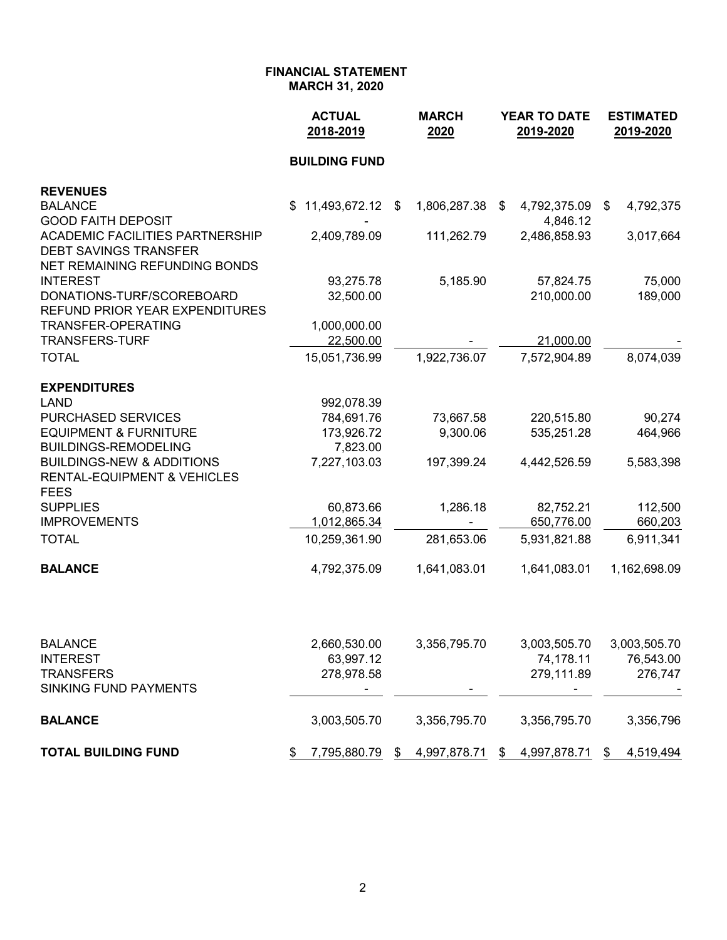|                                                                                | <b>ACTUAL</b><br>2018-2019 | <b>MARCH</b><br>2020 | YEAR TO DATE<br>2019-2020 | <b>ESTIMATED</b><br>2019-2020 |
|--------------------------------------------------------------------------------|----------------------------|----------------------|---------------------------|-------------------------------|
|                                                                                | <b>BUILDING FUND</b>       |                      |                           |                               |
| <b>REVENUES</b>                                                                |                            |                      |                           |                               |
| <b>BALANCE</b><br><b>GOOD FAITH DEPOSIT</b>                                    | 11,493,672.12 \$<br>\$     | 1,806,287.38         | 4,792,375.09<br>\$        | 4,792,375<br>\$               |
| <b>ACADEMIC FACILITIES PARTNERSHIP</b>                                         | 2,409,789.09               | 111,262.79           | 4,846.12<br>2,486,858.93  | 3,017,664                     |
| <b>DEBT SAVINGS TRANSFER</b>                                                   |                            |                      |                           |                               |
| NET REMAINING REFUNDING BONDS                                                  |                            |                      |                           |                               |
| <b>INTEREST</b>                                                                | 93,275.78                  | 5,185.90             | 57,824.75                 | 75,000                        |
| DONATIONS-TURF/SCOREBOARD<br>REFUND PRIOR YEAR EXPENDITURES                    | 32,500.00                  |                      | 210,000.00                | 189,000                       |
| <b>TRANSFER-OPERATING</b>                                                      | 1,000,000.00               |                      |                           |                               |
| <b>TRANSFERS-TURF</b>                                                          | 22,500.00                  |                      | 21,000.00                 |                               |
| <b>TOTAL</b>                                                                   | 15,051,736.99              | 1,922,736.07         | 7,572,904.89              | 8,074,039                     |
| <b>EXPENDITURES</b>                                                            |                            |                      |                           |                               |
| <b>LAND</b>                                                                    | 992,078.39                 |                      |                           |                               |
| <b>PURCHASED SERVICES</b>                                                      | 784,691.76                 | 73,667.58            | 220,515.80                | 90,274                        |
| <b>EQUIPMENT &amp; FURNITURE</b>                                               | 173,926.72                 | 9,300.06             | 535,251.28                | 464,966                       |
| <b>BUILDINGS-REMODELING</b>                                                    | 7,823.00                   |                      |                           |                               |
| <b>BUILDINGS-NEW &amp; ADDITIONS</b><br><b>RENTAL-EQUIPMENT &amp; VEHICLES</b> | 7,227,103.03               | 197,399.24           | 4,442,526.59              | 5,583,398                     |
| <b>FEES</b>                                                                    |                            |                      |                           |                               |
| <b>SUPPLIES</b>                                                                | 60,873.66                  | 1,286.18             | 82,752.21                 | 112,500                       |
| <b>IMPROVEMENTS</b>                                                            | 1,012,865.34               |                      | 650,776.00                | 660,203                       |
| <b>TOTAL</b>                                                                   | 10,259,361.90              | 281,653.06           | 5,931,821.88              | 6,911,341                     |
| <b>BALANCE</b>                                                                 | 4,792,375.09               | 1,641,083.01         | 1,641,083.01              | 1,162,698.09                  |
|                                                                                |                            |                      |                           |                               |
| <b>BALANCE</b>                                                                 | 2,660,530.00               | 3,356,795.70         | 3,003,505.70              | 3,003,505.70                  |
| <b>INTEREST</b>                                                                | 63,997.12                  |                      | 74,178.11                 | 76,543.00                     |
| <b>TRANSFERS</b>                                                               | 278,978.58                 |                      | 279,111.89                | 276,747                       |
| SINKING FUND PAYMENTS                                                          |                            |                      |                           |                               |
| <b>BALANCE</b>                                                                 | 3,003,505.70               | 3,356,795.70         | 3,356,795.70              | 3,356,796                     |
| <b>TOTAL BUILDING FUND</b>                                                     | 7,795,880.79<br>\$         | 4,997,878.71<br>\$   | 4,997,878.71<br>\$        | 4,519,494<br>\$               |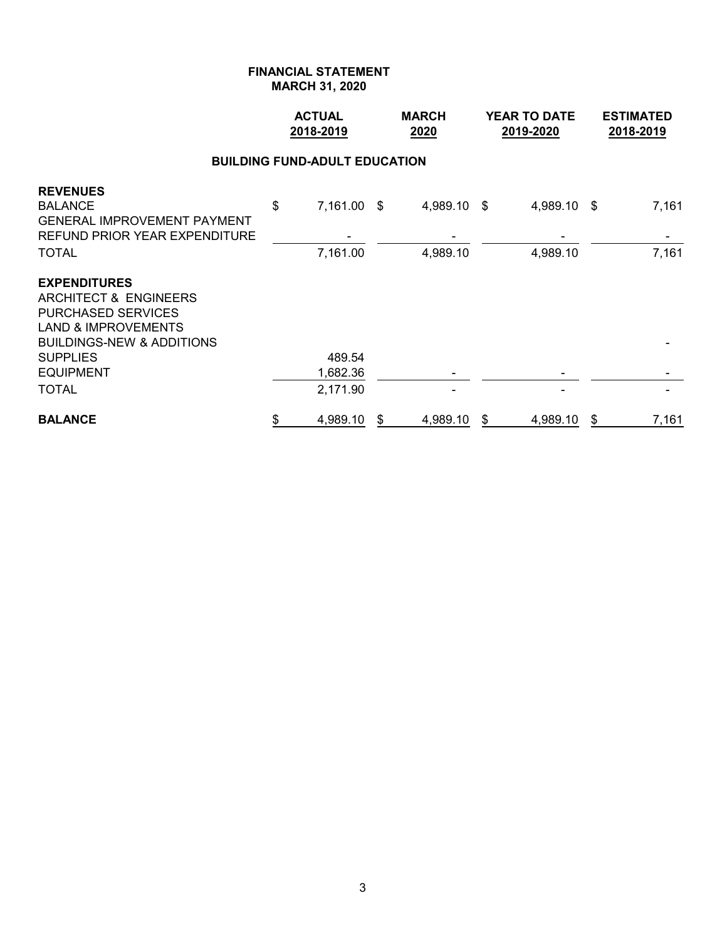# **FINANCIAL STATEMENT**

**MARCH 31, 2020**

|                                                                                                                                                                                                | <b>ACTUAL</b><br>2018-2019 |                                            |    | <b>MARCH</b><br>2020 | <b>YEAR TO DATE</b><br>2019-2020 | <b>ESTIMATED</b><br>2018-2019 |
|------------------------------------------------------------------------------------------------------------------------------------------------------------------------------------------------|----------------------------|--------------------------------------------|----|----------------------|----------------------------------|-------------------------------|
|                                                                                                                                                                                                |                            | <b>BUILDING FUND-ADULT EDUCATION</b>       |    |                      |                                  |                               |
| <b>REVENUES</b><br><b>BALANCE</b><br>GENERAL IMPROVEMENT PAYMENT<br>REFUND PRIOR YEAR EXPENDITURE                                                                                              | \$                         | 7,161.00 \$                                |    | 4,989.10 \$          | 4,989.10 \$                      | 7,161                         |
| TOTAL<br><b>EXPENDITURES</b><br><b>ARCHITECT &amp; ENGINEERS</b><br>PURCHASED SERVICES<br><b>LAND &amp; IMPROVEMENTS</b><br>BUILDINGS-NEW & ADDITIONS<br>SUPPLIES<br><b>EQUIPMENT</b><br>TOTAL |                            | 7,161.00<br>489.54<br>1,682.36<br>2,171.90 |    | 4,989.10             | 4,989.10                         | 7,161                         |
| <b>BALANCE</b>                                                                                                                                                                                 | \$                         | 4,989.10                                   | \$ | 4,989.10             | \$<br>4,989.10                   | \$<br>7,161                   |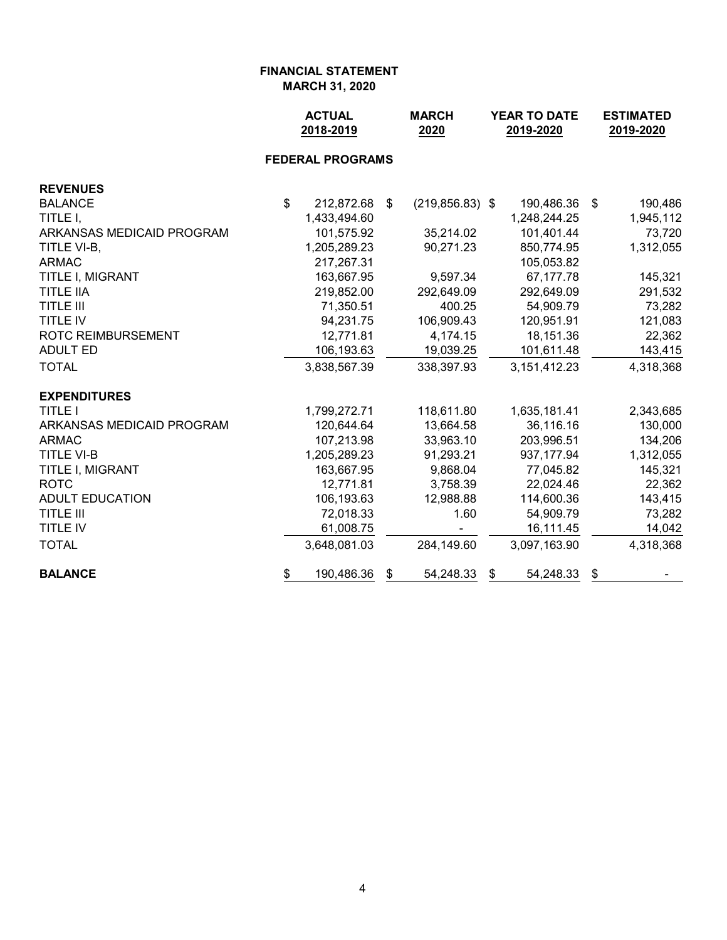|                           |                | <b>ACTUAL</b><br>2018-2019 |     | <b>MARCH</b><br>2020 |    | <b>YEAR TO DATE</b><br>2019-2020 | <b>ESTIMATED</b><br>2019-2020 |           |
|---------------------------|----------------|----------------------------|-----|----------------------|----|----------------------------------|-------------------------------|-----------|
|                           |                | <b>FEDERAL PROGRAMS</b>    |     |                      |    |                                  |                               |           |
| <b>REVENUES</b>           |                |                            |     |                      |    |                                  |                               |           |
| <b>BALANCE</b>            | $\mathfrak{L}$ | 212,872.68                 | -\$ | $(219, 856.83)$ \$   |    | 190,486.36 \$                    |                               | 190,486   |
| TITLE I,                  |                | 1,433,494.60               |     |                      |    | 1,248,244.25                     |                               | 1,945,112 |
| ARKANSAS MEDICAID PROGRAM |                | 101,575.92                 |     | 35,214.02            |    | 101,401.44                       |                               | 73,720    |
| TITLE VI-B,               |                | 1,205,289.23               |     | 90,271.23            |    | 850,774.95                       |                               | 1,312,055 |
| <b>ARMAC</b>              |                | 217,267.31                 |     |                      |    | 105,053.82                       |                               |           |
| TITLE I, MIGRANT          |                | 163,667.95                 |     | 9,597.34             |    | 67,177.78                        |                               | 145,321   |
| <b>TITLE IIA</b>          |                | 219,852.00                 |     | 292,649.09           |    | 292,649.09                       |                               | 291,532   |
| <b>TITLE III</b>          |                | 71,350.51                  |     | 400.25               |    | 54,909.79                        |                               | 73,282    |
| <b>TITLE IV</b>           |                | 94,231.75                  |     | 106,909.43           |    | 120,951.91                       |                               | 121,083   |
| <b>ROTC REIMBURSEMENT</b> |                | 12,771.81                  |     | 4,174.15             |    | 18,151.36                        |                               | 22,362    |
| <b>ADULT ED</b>           |                | 106,193.63                 |     | 19,039.25            |    | 101,611.48                       |                               | 143,415   |
| <b>TOTAL</b>              |                | 3,838,567.39               |     | 338,397.93           |    | 3,151,412.23                     |                               | 4,318,368 |
| <b>EXPENDITURES</b>       |                |                            |     |                      |    |                                  |                               |           |
| <b>TITLE I</b>            |                | 1,799,272.71               |     | 118,611.80           |    | 1,635,181.41                     |                               | 2,343,685 |
| ARKANSAS MEDICAID PROGRAM |                | 120,644.64                 |     | 13,664.58            |    | 36,116.16                        |                               | 130,000   |
| <b>ARMAC</b>              |                | 107,213.98                 |     | 33,963.10            |    | 203,996.51                       |                               | 134,206   |
| <b>TITLE VI-B</b>         |                | 1,205,289.23               |     | 91,293.21            |    | 937, 177.94                      |                               | 1,312,055 |
| TITLE I, MIGRANT          |                | 163,667.95                 |     | 9,868.04             |    | 77,045.82                        |                               | 145,321   |
| <b>ROTC</b>               |                | 12,771.81                  |     | 3,758.39             |    | 22,024.46                        |                               | 22,362    |
| <b>ADULT EDUCATION</b>    |                | 106,193.63                 |     | 12,988.88            |    | 114,600.36                       |                               | 143,415   |
| <b>TITLE III</b>          |                | 72,018.33                  |     | 1.60                 |    | 54,909.79                        |                               | 73,282    |
| <b>TITLE IV</b>           |                | 61,008.75                  |     | $\blacksquare$       |    | 16,111.45                        |                               | 14,042    |
| <b>TOTAL</b>              |                | 3,648,081.03               |     | 284,149.60           |    | 3,097,163.90                     |                               | 4,318,368 |
| <b>BALANCE</b>            | \$             | 190,486.36                 | \$  | 54,248.33            | \$ | 54,248.33                        | \$                            |           |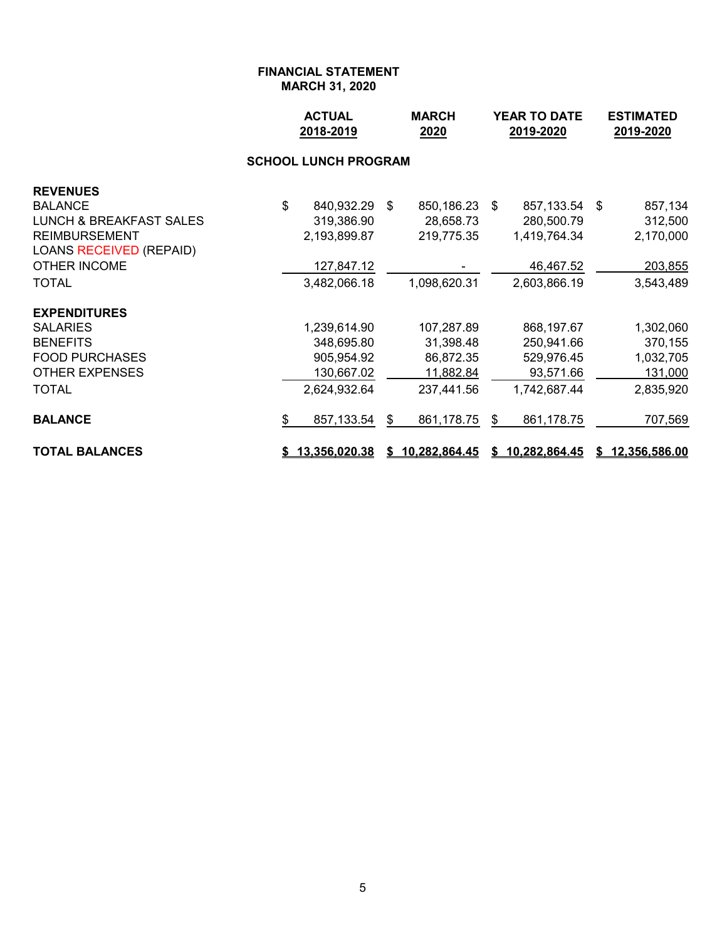|                                    | <b>ACTUAL</b><br>2018-2019 | <b>MARCH</b><br>2020 |               |    | YEAR TO DATE<br>2019-2020 | <b>ESTIMATED</b><br>2019-2020 |                 |  |
|------------------------------------|----------------------------|----------------------|---------------|----|---------------------------|-------------------------------|-----------------|--|
|                                    |                            |                      |               |    |                           |                               |                 |  |
| <b>REVENUES</b>                    |                            |                      |               |    |                           |                               |                 |  |
| <b>BALANCE</b>                     | \$<br>840,932.29           | \$                   | 850,186.23    | \$ | 857,133.54                | \$                            | 857,134         |  |
| <b>LUNCH &amp; BREAKFAST SALES</b> | 319,386.90                 |                      | 28,658.73     |    | 280,500.79                |                               | 312,500         |  |
| <b>REIMBURSEMENT</b>               | 2,193,899.87               |                      | 219,775.35    |    | 1,419,764.34              |                               | 2,170,000       |  |
| <b>LOANS RECEIVED (REPAID)</b>     |                            |                      |               |    |                           |                               |                 |  |
| <b>OTHER INCOME</b>                | 127,847.12                 |                      |               |    | 46,467.52                 |                               | 203,855         |  |
| <b>TOTAL</b>                       | 3,482,066.18               |                      | 1,098,620.31  |    | 2,603,866.19              |                               | 3,543,489       |  |
| <b>EXPENDITURES</b>                |                            |                      |               |    |                           |                               |                 |  |
| <b>SALARIES</b>                    | 1,239,614.90               |                      | 107,287.89    |    | 868,197.67                |                               | 1,302,060       |  |
| <b>BENEFITS</b>                    | 348,695.80                 |                      | 31,398.48     |    | 250,941.66                |                               | 370,155         |  |
| <b>FOOD PURCHASES</b>              | 905,954.92                 |                      | 86,872.35     |    | 529,976.45                |                               | 1,032,705       |  |
| <b>OTHER EXPENSES</b>              | 130,667.02                 |                      | 11,882.84     |    | 93,571.66                 |                               | 131,000         |  |
| <b>TOTAL</b>                       | 2,624,932.64               |                      | 237,441.56    |    | 1,742,687.44              |                               | 2,835,920       |  |
| <b>BALANCE</b>                     | \$<br>857,133.54           | \$                   | 861,178.75    | \$ | 861,178.75                |                               | 707,569         |  |
| <b>TOTAL BALANCES</b>              | \$13,356,020.38            | S.                   | 10,282,864.45 |    | \$10,282,864.45           |                               | \$12,356,586.00 |  |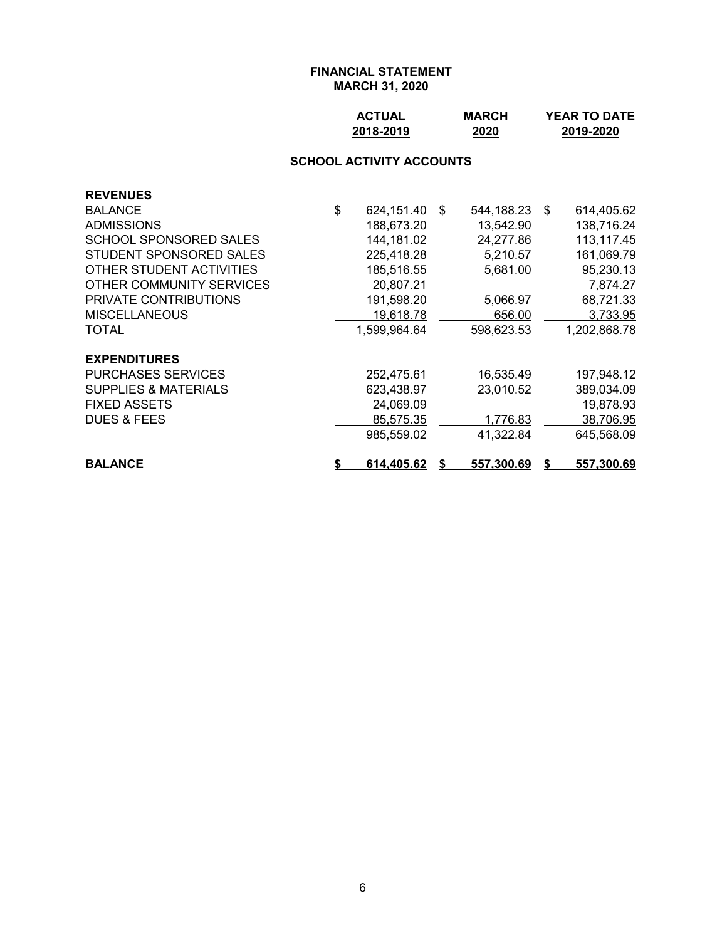| <b>ACTUAL</b> | <b>MARCH</b> | <b>YEAR TO DATE</b> |
|---------------|--------------|---------------------|
| 2018-2019     | 2020         | 2019-2020           |

# **SCHOOL ACTIVITY ACCOUNTS**

| <b>REVENUES</b>                 |    |              |    |            |      |                   |
|---------------------------------|----|--------------|----|------------|------|-------------------|
| <b>BALANCE</b>                  | \$ | 624,151.40   | \$ | 544,188.23 | - \$ | 614,405.62        |
| <b>ADMISSIONS</b>               |    | 188,673.20   |    | 13,542.90  |      | 138,716.24        |
| SCHOOL SPONSORED SALES          |    | 144,181.02   |    | 24,277.86  |      | 113,117.45        |
| STUDENT SPONSORED SALES         |    | 225,418.28   |    | 5,210.57   |      | 161,069.79        |
| OTHER STUDENT ACTIVITIES        |    | 185,516.55   |    | 5,681.00   |      | 95,230.13         |
| OTHER COMMUNITY SERVICES        |    | 20,807.21    |    |            |      | 7,874.27          |
| <b>PRIVATE CONTRIBUTIONS</b>    |    | 191,598.20   |    | 5,066.97   |      | 68,721.33         |
| <b>MISCELLANEOUS</b>            |    | 19,618.78    |    | 656.00     |      | 3,733.95          |
| <b>TOTAL</b>                    |    | 1,599,964.64 |    | 598,623.53 |      | 1,202,868.78      |
| <b>EXPENDITURES</b>             |    |              |    |            |      |                   |
| <b>PURCHASES SERVICES</b>       |    | 252,475.61   |    | 16,535.49  |      | 197,948.12        |
| <b>SUPPLIES &amp; MATERIALS</b> |    | 623,438.97   |    | 23,010.52  |      | 389,034.09        |
| <b>FIXED ASSETS</b>             |    | 24,069.09    |    |            |      | 19,878.93         |
| <b>DUES &amp; FEES</b>          |    | 85,575.35    |    | 1,776.83   |      | 38,706.95         |
|                                 |    | 985,559.02   |    | 41,322.84  |      | 645,568.09        |
| <b>BALANCE</b>                  | S  | 614,405.62   | S  | 557,300.69 | S    | <u>557,300.69</u> |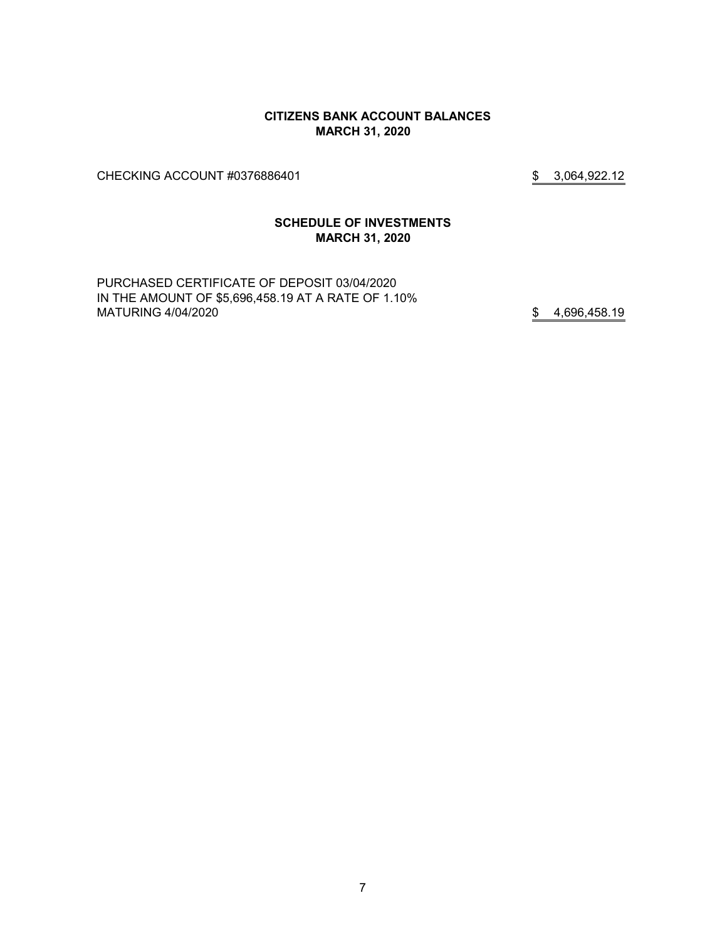#### **CITIZENS BANK ACCOUNT BALANCES MARCH 31, 2020**

CHECKING ACCOUNT #0376886401 \$ 3,064,922.12

# **SCHEDULE OF INVESTMENTS MARCH 31, 2020**

PURCHASED CERTIFICATE OF DEPOSIT 03/04/2020 IN THE AMOUNT OF \$5,696,458.19 AT A RATE OF 1.10% MATURING 4/04/2020 \$4,696,458.19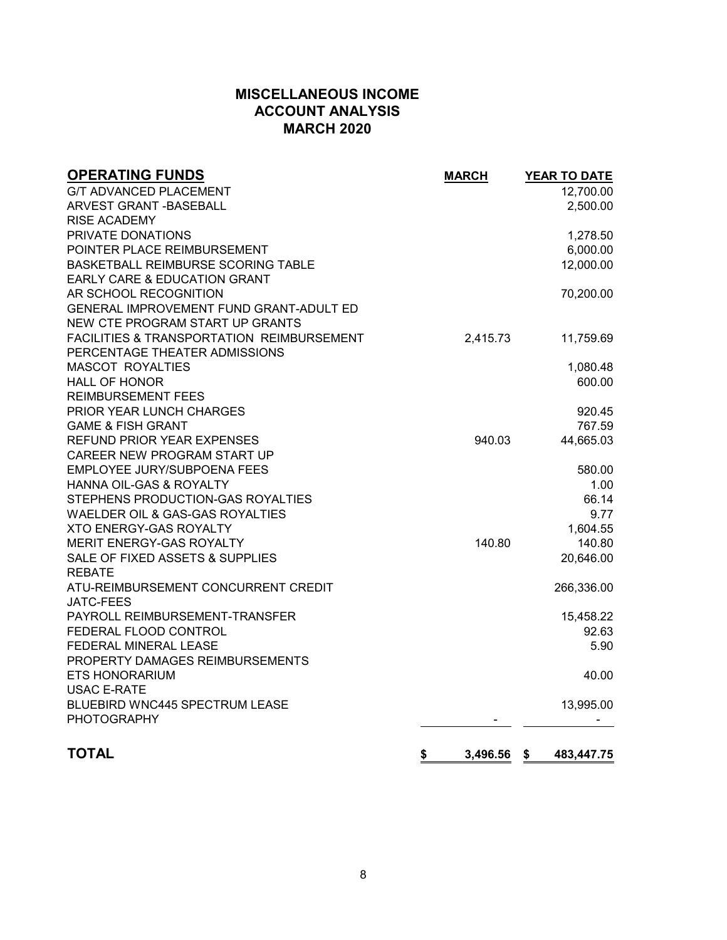# **MISCELLANEOUS INCOME ACCOUNT ANALYSIS MARCH 2020**

| <b>OPERATING FUNDS</b>                               | <b>MARCH</b>   | <b>YEAR TO DATE</b> |
|------------------------------------------------------|----------------|---------------------|
| <b>G/T ADVANCED PLACEMENT</b>                        |                | 12,700.00           |
| ARVEST GRANT -BASEBALL                               |                | 2,500.00            |
| <b>RISE ACADEMY</b>                                  |                |                     |
| PRIVATE DONATIONS                                    |                | 1,278.50            |
| POINTER PLACE REIMBURSEMENT                          |                | 6,000.00            |
| BASKETBALL REIMBURSE SCORING TABLE                   |                | 12,000.00           |
| EARLY CARE & EDUCATION GRANT                         |                |                     |
| AR SCHOOL RECOGNITION                                |                | 70,200.00           |
| GENERAL IMPROVEMENT FUND GRANT-ADULT ED              |                |                     |
| NEW CTE PROGRAM START UP GRANTS                      |                |                     |
| <b>FACILITIES &amp; TRANSPORTATION REIMBURSEMENT</b> | 2,415.73       | 11,759.69           |
| PERCENTAGE THEATER ADMISSIONS                        |                |                     |
| <b>MASCOT ROYALTIES</b>                              |                | 1,080.48            |
| <b>HALL OF HONOR</b>                                 |                | 600.00              |
| <b>REIMBURSEMENT FEES</b>                            |                |                     |
| <b>PRIOR YEAR LUNCH CHARGES</b>                      |                | 920.45              |
| <b>GAME &amp; FISH GRANT</b>                         |                | 767.59              |
| REFUND PRIOR YEAR EXPENSES                           | 940.03         | 44,665.03           |
| CAREER NEW PROGRAM START UP                          |                |                     |
| <b>EMPLOYEE JURY/SUBPOENA FEES</b>                   |                | 580.00              |
| HANNA OIL-GAS & ROYALTY                              |                | 1.00                |
| STEPHENS PRODUCTION-GAS ROYALTIES                    |                | 66.14               |
| WAELDER OIL & GAS-GAS ROYALTIES                      |                | 9.77                |
| <b>XTO ENERGY-GAS ROYALTY</b>                        |                | 1,604.55            |
| MERIT ENERGY-GAS ROYALTY                             | 140.80         | 140.80              |
| SALE OF FIXED ASSETS & SUPPLIES                      |                | 20,646.00           |
| <b>REBATE</b>                                        |                |                     |
| ATU-REIMBURSEMENT CONCURRENT CREDIT                  |                | 266,336.00          |
| <b>JATC-FEES</b>                                     |                |                     |
| PAYROLL REIMBURSEMENT-TRANSFER                       |                | 15,458.22           |
| FEDERAL FLOOD CONTROL                                |                | 92.63               |
| FEDERAL MINERAL LEASE                                |                | 5.90                |
| PROPERTY DAMAGES REIMBURSEMENTS                      |                |                     |
| <b>ETS HONORARIUM</b>                                |                | 40.00               |
| <b>USAC E-RATE</b>                                   |                |                     |
| BLUEBIRD WNC445 SPECTRUM LEASE                       |                | 13,995.00           |
| <b>PHOTOGRAPHY</b>                                   |                |                     |
|                                                      |                |                     |
| <b>TOTAL</b>                                         | 3,496.56<br>\$ | 483,447.75<br>\$    |